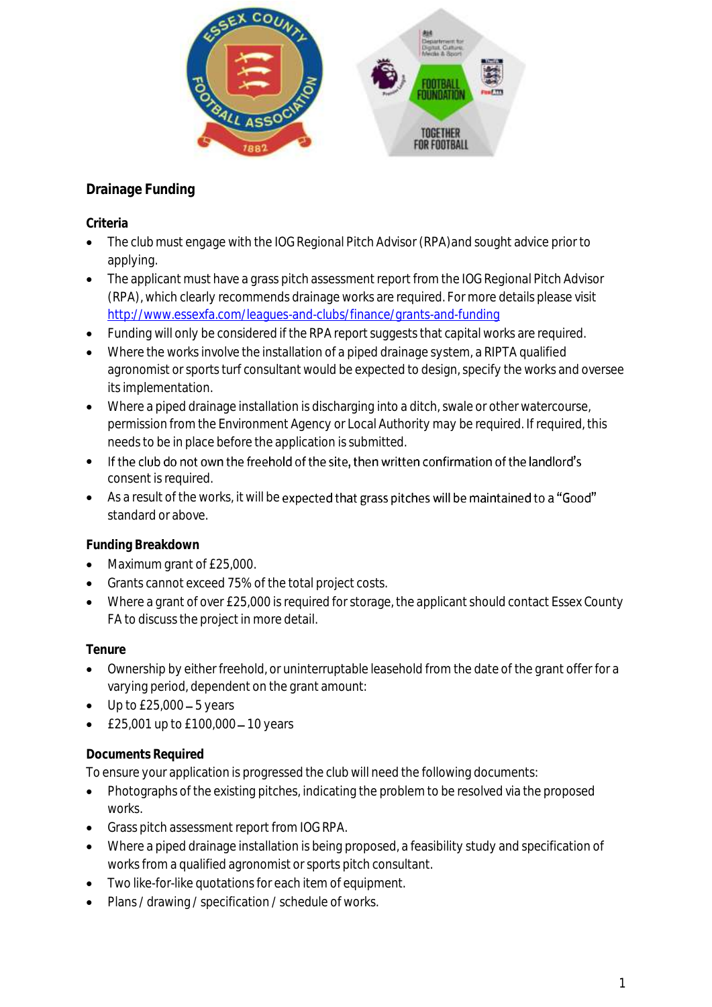

## **Drainage Funding**

**Criteria** 

- The club must engage with the IOG Regional Pitch Advisor (RPA)and sought advice prior to applying.
- The applicant must have a grass pitch assessment report from the IOG Regional Pitch Advisor (RPA), which clearly recommends drainage works are required. For more details please visit <http://www.essexfa.com/leagues-and-clubs/finance/grants-and-funding>
- Funding will only be considered if the RPA report suggests that capital works are required.
- Where the works involve the installation of a piped drainage system, a RIPTA qualified agronomist or sports turf consultant would be expected to design, specify the works and oversee its implementation.
- Where a piped drainage installation is discharging into a ditch, swale or other watercourse, permission from the Environment Agency or Local Authority may be required. If required, this needs to be in place before the application is submitted.
- If the club do not own the freehold of the site, then written confirmation of the landlord's consent is required.
- As a result of the works, it will be expected that grass pitches will be maintained to a "Good" standard or above.

**Funding Breakdown**

- Maximum grant of £25,000.
- Grants cannot exceed 75% of the total project costs.
- Where a grant of over £25,000 is required for storage, the applicant should contact Essex County FA to discuss the project in more detail.

**Tenure**

- Ownership by either freehold, or uninterruptable leasehold from the date of the grant offer for a varying period, dependent on the grant amount:
- $\bullet$  Up to £25,000 5 years
- $£25,001$  up to  $£100,000 10$  years

## **Documents Required**

To ensure your application is progressed the club will need the following documents:

- Photographs of the existing pitches, indicating the problem to be resolved via the proposed works.
- Grass pitch assessment report from IOG RPA.
- Where a piped drainage installation is being proposed, a feasibility study and specification of works from a qualified agronomist or sports pitch consultant.
- Two like-for-like quotations for each item of equipment.
- Plans / drawing / specification / schedule of works.